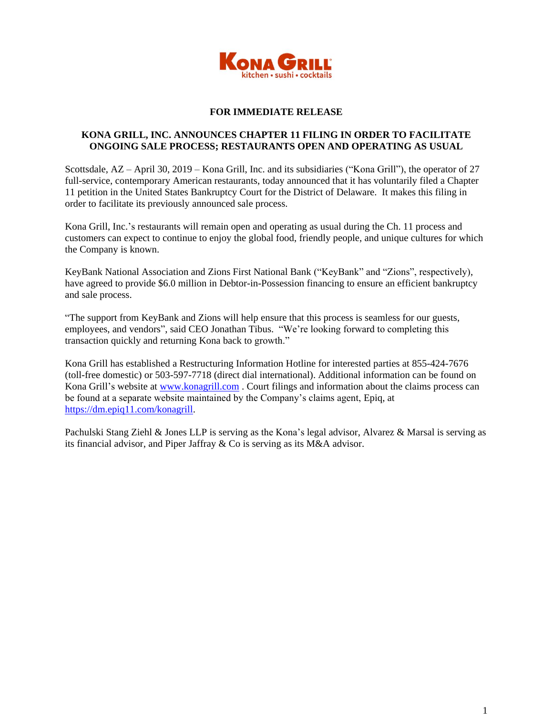

# **FOR IMMEDIATE RELEASE**

# **KONA GRILL, INC. ANNOUNCES CHAPTER 11 FILING IN ORDER TO FACILITATE ONGOING SALE PROCESS; RESTAURANTS OPEN AND OPERATING AS USUAL**

Scottsdale, AZ – April 30, 2019 – Kona Grill, Inc. and its subsidiaries ("Kona Grill"), the operator of 27 full-service, contemporary American restaurants, today announced that it has voluntarily filed a Chapter 11 petition in the United States Bankruptcy Court for the District of Delaware. It makes this filing in order to facilitate its previously announced sale process.

Kona Grill, Inc.'s restaurants will remain open and operating as usual during the Ch. 11 process and customers can expect to continue to enjoy the global food, friendly people, and unique cultures for which the Company is known.

KeyBank National Association and Zions First National Bank ("KeyBank" and "Zions", respectively), have agreed to provide \$6.0 million in Debtor-in-Possession financing to ensure an efficient bankruptcy and sale process.

"The support from KeyBank and Zions will help ensure that this process is seamless for our guests, employees, and vendors", said CEO Jonathan Tibus. "We're looking forward to completing this transaction quickly and returning Kona back to growth."

Kona Grill has established a Restructuring Information Hotline for interested parties at 855-424-7676 (toll-free domestic) or 503-597-7718 (direct dial international). Additional information can be found on Kona Grill's website at [www.konagrill.com](http://www.konagrill.com/) . Court filings and information about the claims process can be found at a separate website maintained by the Company's claims agent, Epiq, at [https://dm.epiq11.com/konagrill.](https://dm.epiq11.com/konagrill)

Pachulski Stang Ziehl & Jones LLP is serving as the Kona's legal advisor, Alvarez & Marsal is serving as its financial advisor, and Piper Jaffray & Co is serving as its M&A advisor.